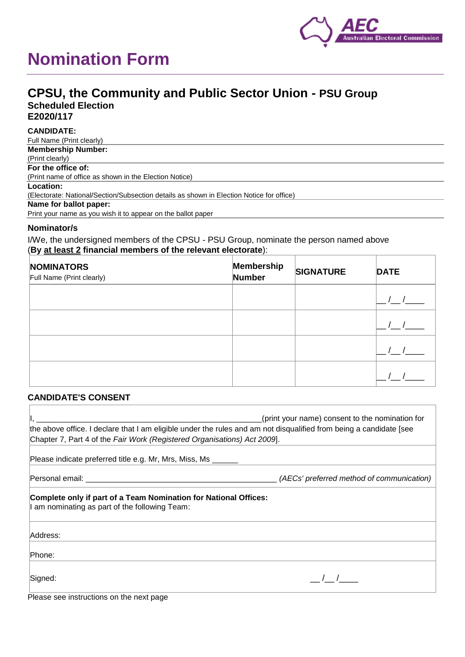# **Nomination Form**



## **CPSU, the Community and Public Sector Union - PSU Group Scheduled Election E2020/117**

**CANDIDATE:**

Full Name (Print clearly) **Membership Number:** (Print clearly) **For the office of:** (Print name of office as shown in the Election Notice) **Location:** (Electorate: National/Section/Subsection details as shown in Election Notice for office) **Name for ballot paper:** Print your name as you wish it to appear on the ballot paper

## **Nominator/s**

I/We, the undersigned members of the CPSU - PSU Group, nominate the person named above (**By at least 2 financial members of the relevant electorate**):

| <b>NOMINATORS</b><br>Full Name (Print clearly) | Membership<br>Number | <b>SIGNATURE</b> | <b>DATE</b> |
|------------------------------------------------|----------------------|------------------|-------------|
|                                                |                      |                  |             |
|                                                |                      |                  |             |
|                                                |                      |                  |             |
|                                                |                      |                  |             |

## **CANDIDATE'S CONSENT**

|                                                                                                                                                                                               | (print your name) consent to the nomination for |  |  |
|-----------------------------------------------------------------------------------------------------------------------------------------------------------------------------------------------|-------------------------------------------------|--|--|
| the above office. I declare that I am eligible under the rules and am not disqualified from being a candidate [see<br>Chapter 7, Part 4 of the Fair Work (Registered Organisations) Act 2009. |                                                 |  |  |
| Please indicate preferred title e.g. Mr, Mrs, Miss, Ms                                                                                                                                        |                                                 |  |  |
|                                                                                                                                                                                               | (AECs' preferred method of communication)       |  |  |
| Complete only if part of a Team Nomination for National Offices:<br>I am nominating as part of the following Team:                                                                            |                                                 |  |  |
| Address:                                                                                                                                                                                      |                                                 |  |  |
| Phone:                                                                                                                                                                                        |                                                 |  |  |
| Signed:                                                                                                                                                                                       |                                                 |  |  |

Please see instructions on the next page